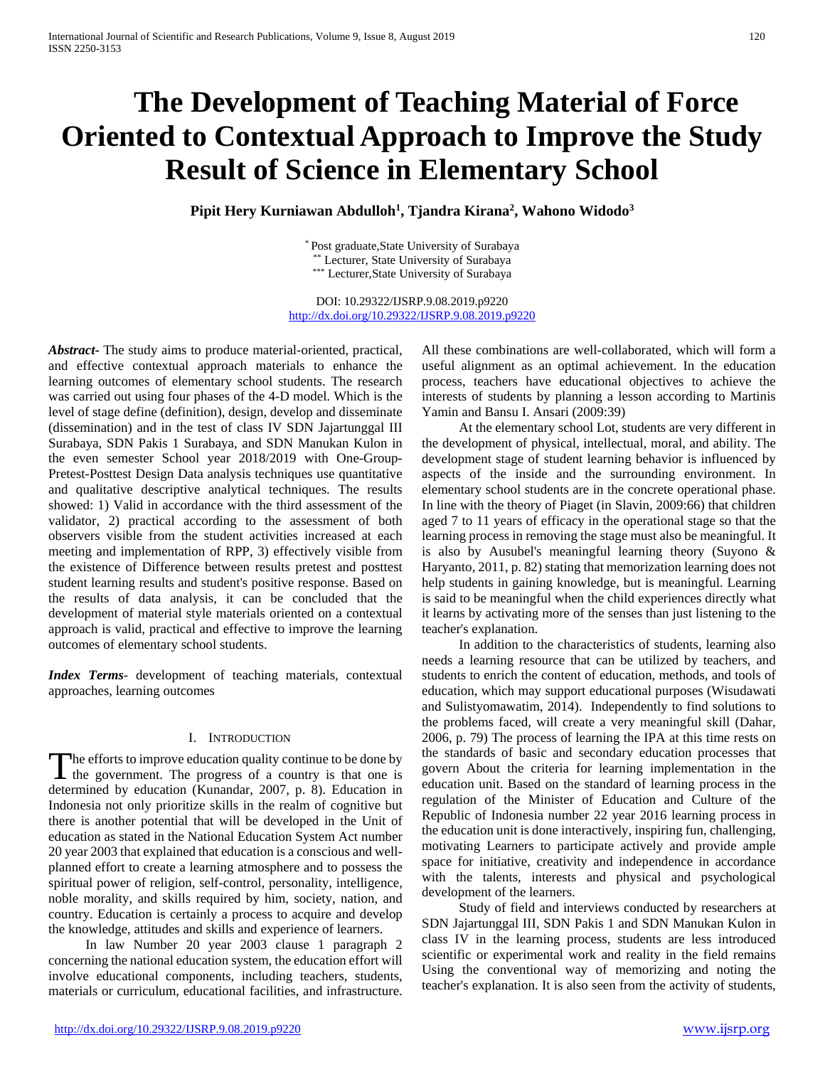# **The Development of Teaching Material of Force Oriented to Contextual Approach to Improve the Study Result of Science in Elementary School**

**Pipit Hery Kurniawan Abdulloh1 , Tjandra Kirana2 , Wahono Widodo3**

\* Post graduate,State University of Surabaya \*\* Lecturer, State University of Surabaya \*\*\* Lecturer,State University of Surabaya

DOI: 10.29322/IJSRP.9.08.2019.p9220 <http://dx.doi.org/10.29322/IJSRP.9.08.2019.p9220>

*Abstract***-** The study aims to produce material-oriented, practical, and effective contextual approach materials to enhance the learning outcomes of elementary school students. The research was carried out using four phases of the 4-D model. Which is the level of stage define (definition), design, develop and disseminate (dissemination) and in the test of class IV SDN Jajartunggal III Surabaya, SDN Pakis 1 Surabaya, and SDN Manukan Kulon in the even semester School year 2018/2019 with One-Group-Pretest-Posttest Design Data analysis techniques use quantitative and qualitative descriptive analytical techniques. The results showed: 1) Valid in accordance with the third assessment of the validator, 2) practical according to the assessment of both observers visible from the student activities increased at each meeting and implementation of RPP, 3) effectively visible from the existence of Difference between results pretest and posttest student learning results and student's positive response. Based on the results of data analysis, it can be concluded that the development of material style materials oriented on a contextual approach is valid, practical and effective to improve the learning outcomes of elementary school students.

*Index Terms*- development of teaching materials, contextual approaches, learning outcomes

# I. INTRODUCTION

The efforts to improve education quality continue to be done by The efforts to improve education quality continue to be done by<br>the government. The progress of a country is that one is determined by education (Kunandar, 2007, p. 8). Education in Indonesia not only prioritize skills in the realm of cognitive but there is another potential that will be developed in the Unit of education as stated in the National Education System Act number 20 year 2003 that explained that education is a conscious and wellplanned effort to create a learning atmosphere and to possess the spiritual power of religion, self-control, personality, intelligence, noble morality, and skills required by him, society, nation, and country. Education is certainly a process to acquire and develop the knowledge, attitudes and skills and experience of learners.

 In law Number 20 year 2003 clause 1 paragraph 2 concerning the national education system, the education effort will involve educational components, including teachers, students, materials or curriculum, educational facilities, and infrastructure.

All these combinations are well-collaborated, which will form a useful alignment as an optimal achievement. In the education process, teachers have educational objectives to achieve the interests of students by planning a lesson according to Martinis Yamin and Bansu I. Ansari (2009:39)

 At the elementary school Lot, students are very different in the development of physical, intellectual, moral, and ability. The development stage of student learning behavior is influenced by aspects of the inside and the surrounding environment. In elementary school students are in the concrete operational phase. In line with the theory of Piaget (in Slavin, 2009:66) that children aged 7 to 11 years of efficacy in the operational stage so that the learning process in removing the stage must also be meaningful. It is also by Ausubel's meaningful learning theory (Suyono & Haryanto, 2011, p. 82) stating that memorization learning does not help students in gaining knowledge, but is meaningful. Learning is said to be meaningful when the child experiences directly what it learns by activating more of the senses than just listening to the teacher's explanation.

 In addition to the characteristics of students, learning also needs a learning resource that can be utilized by teachers, and students to enrich the content of education, methods, and tools of education, which may support educational purposes (Wisudawati and Sulistyomawatim, 2014). Independently to find solutions to the problems faced, will create a very meaningful skill (Dahar, 2006, p. 79) The process of learning the IPA at this time rests on the standards of basic and secondary education processes that govern About the criteria for learning implementation in the education unit. Based on the standard of learning process in the regulation of the Minister of Education and Culture of the Republic of Indonesia number 22 year 2016 learning process in the education unit is done interactively, inspiring fun, challenging, motivating Learners to participate actively and provide ample space for initiative, creativity and independence in accordance with the talents, interests and physical and psychological development of the learners.

 Study of field and interviews conducted by researchers at SDN Jajartunggal III, SDN Pakis 1 and SDN Manukan Kulon in class IV in the learning process, students are less introduced scientific or experimental work and reality in the field remains Using the conventional way of memorizing and noting the teacher's explanation. It is also seen from the activity of students,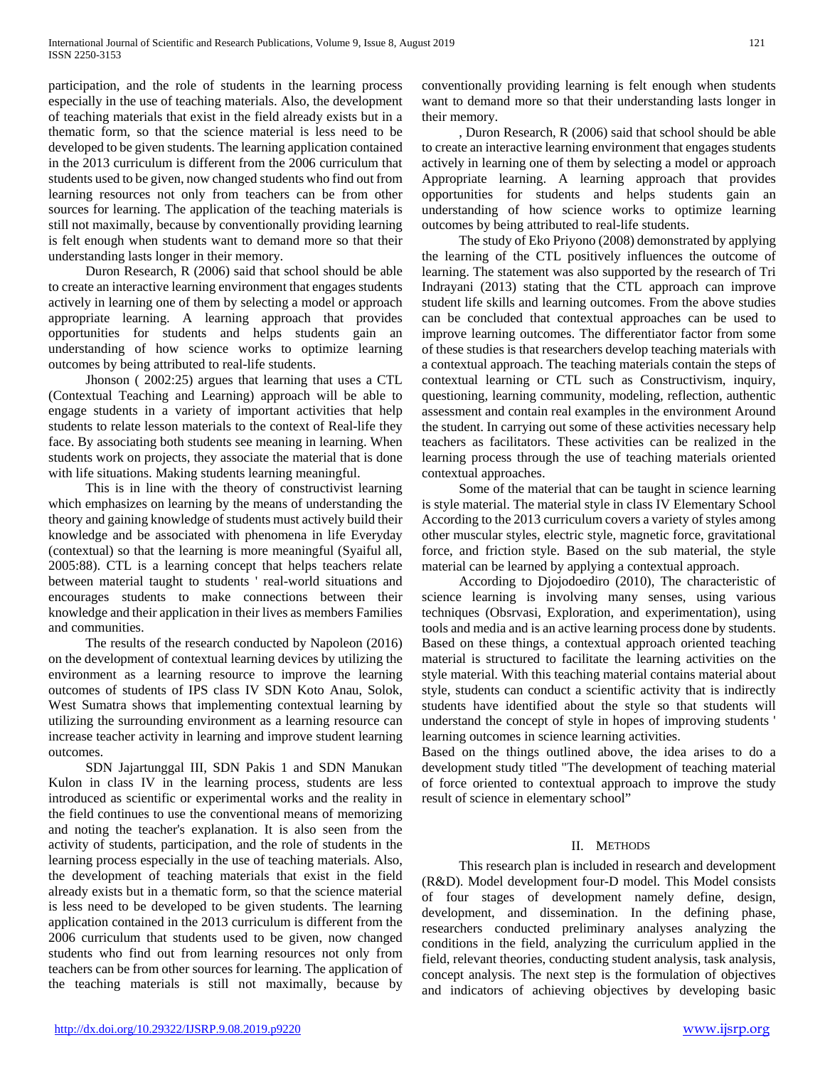participation, and the role of students in the learning process especially in the use of teaching materials. Also, the development of teaching materials that exist in the field already exists but in a thematic form, so that the science material is less need to be developed to be given students. The learning application contained in the 2013 curriculum is different from the 2006 curriculum that students used to be given, now changed students who find out from learning resources not only from teachers can be from other sources for learning. The application of the teaching materials is still not maximally, because by conventionally providing learning is felt enough when students want to demand more so that their understanding lasts longer in their memory.

 Duron Research, R (2006) said that school should be able to create an interactive learning environment that engages students actively in learning one of them by selecting a model or approach appropriate learning. A learning approach that provides opportunities for students and helps students gain an understanding of how science works to optimize learning outcomes by being attributed to real-life students.

 Jhonson ( 2002:25) argues that learning that uses a CTL (Contextual Teaching and Learning) approach will be able to engage students in a variety of important activities that help students to relate lesson materials to the context of Real-life they face. By associating both students see meaning in learning. When students work on projects, they associate the material that is done with life situations. Making students learning meaningful.

 This is in line with the theory of constructivist learning which emphasizes on learning by the means of understanding the theory and gaining knowledge of students must actively build their knowledge and be associated with phenomena in life Everyday (contextual) so that the learning is more meaningful (Syaiful all, 2005:88). CTL is a learning concept that helps teachers relate between material taught to students ' real-world situations and encourages students to make connections between their knowledge and their application in their lives as members Families and communities.

 The results of the research conducted by Napoleon (2016) on the development of contextual learning devices by utilizing the environment as a learning resource to improve the learning outcomes of students of IPS class IV SDN Koto Anau, Solok, West Sumatra shows that implementing contextual learning by utilizing the surrounding environment as a learning resource can increase teacher activity in learning and improve student learning outcomes.

 SDN Jajartunggal III, SDN Pakis 1 and SDN Manukan Kulon in class IV in the learning process, students are less introduced as scientific or experimental works and the reality in the field continues to use the conventional means of memorizing and noting the teacher's explanation. It is also seen from the activity of students, participation, and the role of students in the learning process especially in the use of teaching materials. Also, the development of teaching materials that exist in the field already exists but in a thematic form, so that the science material is less need to be developed to be given students. The learning application contained in the 2013 curriculum is different from the 2006 curriculum that students used to be given, now changed students who find out from learning resources not only from teachers can be from other sources for learning. The application of the teaching materials is still not maximally, because by

<http://dx.doi.org/10.29322/IJSRP.9.08.2019.p9220> [www.ijsrp.org](http://ijsrp.org/)

conventionally providing learning is felt enough when students want to demand more so that their understanding lasts longer in their memory.

 , Duron Research, R (2006) said that school should be able to create an interactive learning environment that engages students actively in learning one of them by selecting a model or approach Appropriate learning. A learning approach that provides opportunities for students and helps students gain an understanding of how science works to optimize learning outcomes by being attributed to real-life students.

 The study of Eko Priyono (2008) demonstrated by applying the learning of the CTL positively influences the outcome of learning. The statement was also supported by the research of Tri Indrayani (2013) stating that the CTL approach can improve student life skills and learning outcomes. From the above studies can be concluded that contextual approaches can be used to improve learning outcomes. The differentiator factor from some of these studies is that researchers develop teaching materials with a contextual approach. The teaching materials contain the steps of contextual learning or CTL such as Constructivism, inquiry, questioning, learning community, modeling, reflection, authentic assessment and contain real examples in the environment Around the student. In carrying out some of these activities necessary help teachers as facilitators. These activities can be realized in the learning process through the use of teaching materials oriented contextual approaches.

 Some of the material that can be taught in science learning is style material. The material style in class IV Elementary School According to the 2013 curriculum covers a variety of styles among other muscular styles, electric style, magnetic force, gravitational force, and friction style. Based on the sub material, the style material can be learned by applying a contextual approach.

 According to Djojodoediro (2010), The characteristic of science learning is involving many senses, using various techniques (Obsrvasi, Exploration, and experimentation), using tools and media and is an active learning process done by students. Based on these things, a contextual approach oriented teaching material is structured to facilitate the learning activities on the style material. With this teaching material contains material about style, students can conduct a scientific activity that is indirectly students have identified about the style so that students will understand the concept of style in hopes of improving students ' learning outcomes in science learning activities.

Based on the things outlined above, the idea arises to do a development study titled "The development of teaching material of force oriented to contextual approach to improve the study result of science in elementary school"

# II. METHODS

 This research plan is included in research and development (R&D). Model development four-D model. This Model consists of four stages of development namely define, design, development, and dissemination. In the defining phase, researchers conducted preliminary analyses analyzing the conditions in the field, analyzing the curriculum applied in the field, relevant theories, conducting student analysis, task analysis, concept analysis. The next step is the formulation of objectives and indicators of achieving objectives by developing basic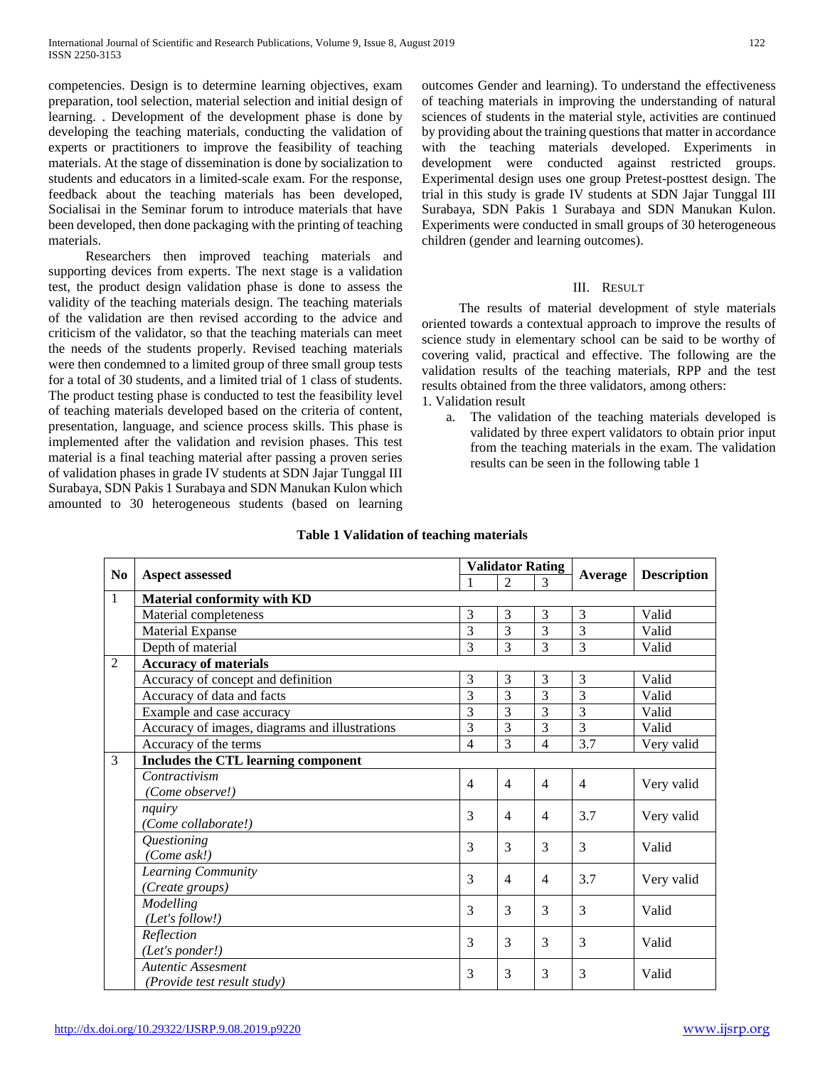competencies. Design is to determine learning objectives, exam preparation, tool selection, material selection and initial design of learning. . Development of the development phase is done by developing the teaching materials, conducting the validation of experts or practitioners to improve the feasibility of teaching materials. At the stage of dissemination is done by socialization to students and educators in a limited-scale exam. For the response, feedback about the teaching materials has been developed, Socialisai in the Seminar forum to introduce materials that have been developed, then done packaging with the printing of teaching materials.

 Researchers then improved teaching materials and supporting devices from experts. The next stage is a validation test, the product design validation phase is done to assess the validity of the teaching materials design. The teaching materials of the validation are then revised according to the advice and criticism of the validator, so that the teaching materials can meet the needs of the students properly. Revised teaching materials were then condemned to a limited group of three small group tests for a total of 30 students, and a limited trial of 1 class of students. The product testing phase is conducted to test the feasibility level of teaching materials developed based on the criteria of content, presentation, language, and science process skills. This phase is implemented after the validation and revision phases. This test material is a final teaching material after passing a proven series of validation phases in grade IV students at SDN Jajar Tunggal III Surabaya, SDN Pakis 1 Surabaya and SDN Manukan Kulon which amounted to 30 heterogeneous students (based on learning outcomes Gender and learning). To understand the effectiveness of teaching materials in improving the understanding of natural sciences of students in the material style, activities are continued by providing about the training questions that matter in accordance with the teaching materials developed. Experiments in development were conducted against restricted groups. Experimental design uses one group Pretest-posttest design. The trial in this study is grade IV students at SDN Jajar Tunggal III Surabaya, SDN Pakis 1 Surabaya and SDN Manukan Kulon. Experiments were conducted in small groups of 30 heterogeneous children (gender and learning outcomes).

# III. RESULT

 The results of material development of style materials oriented towards a contextual approach to improve the results of science study in elementary school can be said to be worthy of covering valid, practical and effective. The following are the validation results of the teaching materials, RPP and the test results obtained from the three validators, among others: 1. Validation result

a. The validation of the teaching materials developed is validated by three expert validators to obtain prior input from the teaching materials in the exam. The validation results can be seen in the following table 1

| N <sub>0</sub> | <b>Aspect assessed</b>                         |                | <b>Validator Rating</b>  |                          | Average        | <b>Description</b> |  |  |  |  |
|----------------|------------------------------------------------|----------------|--------------------------|--------------------------|----------------|--------------------|--|--|--|--|
|                |                                                | 1              | $\overline{\mathcal{L}}$ | 3                        |                |                    |  |  |  |  |
| $\mathbf{1}$   | <b>Material conformity with KD</b>             |                |                          |                          |                |                    |  |  |  |  |
|                | Material completeness                          | 3              | 3                        | 3                        | 3              | Valid              |  |  |  |  |
|                | <b>Material Expanse</b>                        | 3              | 3                        | 3                        | 3              | Valid              |  |  |  |  |
|                | Depth of material                              | 3              | 3                        | 3                        | 3              | Valid              |  |  |  |  |
| $\overline{2}$ | <b>Accuracy of materials</b>                   |                |                          |                          |                |                    |  |  |  |  |
|                | Accuracy of concept and definition             | $\overline{3}$ | 3                        | 3                        | 3              | Valid              |  |  |  |  |
|                | Accuracy of data and facts                     | 3              | 3                        | 3                        | 3              | Valid              |  |  |  |  |
|                | Example and case accuracy                      | 3              | 3                        | 3                        | 3              | Valid              |  |  |  |  |
|                | Accuracy of images, diagrams and illustrations | 3              | 3                        | 3                        | 3              | Valid              |  |  |  |  |
|                | Accuracy of the terms                          | $\overline{4}$ | 3                        | $\overline{4}$           | 3.7            | Very valid         |  |  |  |  |
| 3              | Includes the CTL learning component            |                |                          |                          |                |                    |  |  |  |  |
|                | Contractivism                                  | $\overline{4}$ | $\overline{4}$           | $\overline{4}$           | $\overline{4}$ | Very valid         |  |  |  |  |
|                | (Come observe!)                                |                |                          |                          |                |                    |  |  |  |  |
|                | nquiry                                         | $\mathcal{F}$  | $\overline{4}$           | $\overline{\mathcal{A}}$ | 3.7            | Very valid         |  |  |  |  |
|                | (Come collaborate!)                            |                |                          |                          |                |                    |  |  |  |  |
|                | Questioning                                    | 3              | 3                        | 3                        | 3              | Valid              |  |  |  |  |
|                | (Come ask!)                                    |                |                          |                          |                |                    |  |  |  |  |
|                | Learning Community                             | $\mathcal{F}$  | $\overline{4}$           | $\overline{4}$           | 3.7            | Very valid         |  |  |  |  |
|                | (Create groups)                                |                |                          |                          |                |                    |  |  |  |  |
|                | Modelling                                      | 3              | 3                        | 3                        | 3              | Valid              |  |  |  |  |
|                | (Let's follow!)                                |                |                          |                          |                |                    |  |  |  |  |
|                | Reflection                                     | 3              | 3                        | 3                        | 3              | Valid              |  |  |  |  |
|                | (Let's ponder!)                                |                |                          |                          |                |                    |  |  |  |  |
|                | <b>Autentic Assesment</b>                      | 3              | 3                        | 3                        | 3              | Valid              |  |  |  |  |
|                | (Provide test result study)                    |                |                          |                          |                |                    |  |  |  |  |

# **Table 1 Validation of teaching materials**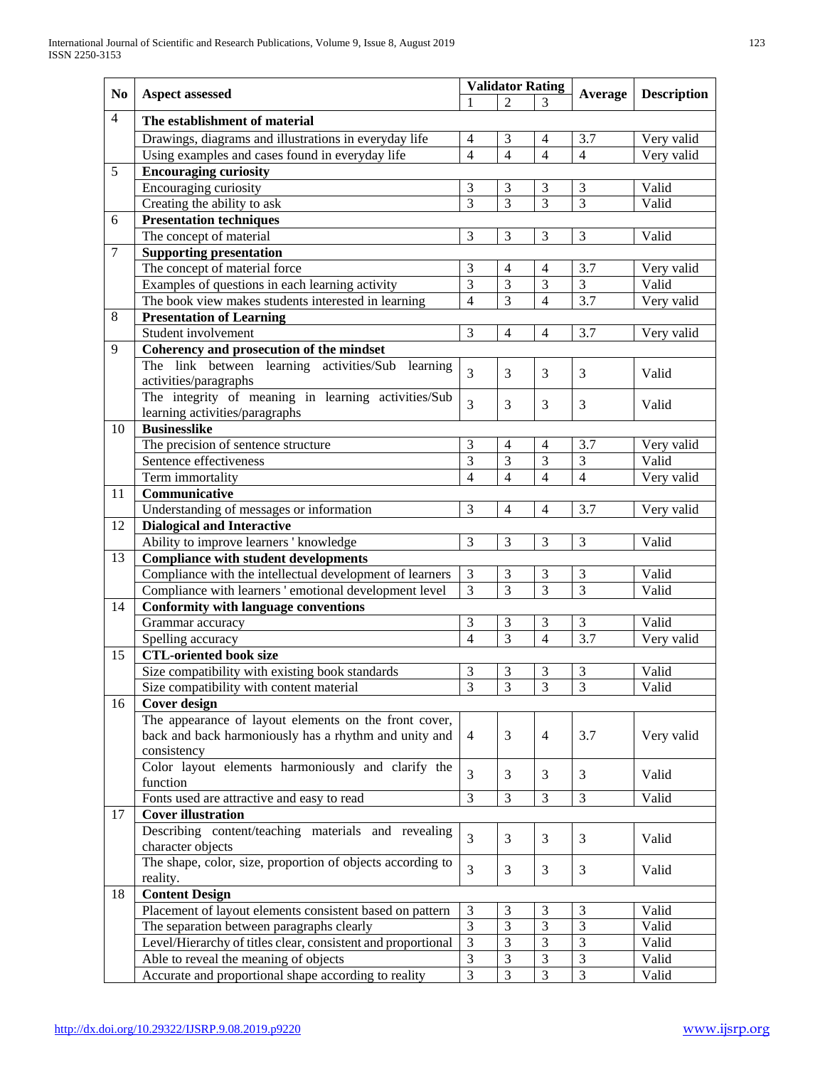|                |                                                                               | <b>Validator Rating</b>          |                          |                |                |                    |  |  |  |  |
|----------------|-------------------------------------------------------------------------------|----------------------------------|--------------------------|----------------|----------------|--------------------|--|--|--|--|
| No             | <b>Aspect assessed</b>                                                        |                                  | $\overline{2}$           |                | Average        | <b>Description</b> |  |  |  |  |
| $\overline{4}$ | The establishment of material                                                 |                                  |                          |                |                |                    |  |  |  |  |
|                | Drawings, diagrams and illustrations in everyday life                         | $\overline{4}$                   | 3                        | 4              | 3.7            | Very valid         |  |  |  |  |
|                | Using examples and cases found in everyday life                               | $\overline{4}$                   | $\overline{\mathcal{A}}$ | $\overline{4}$ | $\overline{4}$ | Very valid         |  |  |  |  |
| 5              | <b>Encouraging curiosity</b>                                                  |                                  |                          |                |                |                    |  |  |  |  |
|                | Encouraging curiosity                                                         | 3                                | 3                        | 3              | 3              | Valid              |  |  |  |  |
|                | Creating the ability to ask                                                   | $\overline{3}$                   | $\overline{3}$           | $\overline{3}$ | $\overline{3}$ | Valid              |  |  |  |  |
| 6              | <b>Presentation techniques</b>                                                |                                  |                          |                |                |                    |  |  |  |  |
|                | The concept of material                                                       | 3                                | 3                        | 3              | 3              | Valid              |  |  |  |  |
| $\tau$         | <b>Supporting presentation</b>                                                |                                  |                          |                |                |                    |  |  |  |  |
|                | The concept of material force                                                 | 3                                | 4                        | 4              | 3.7            | Very valid         |  |  |  |  |
|                | Examples of questions in each learning activity                               | $\overline{3}$                   | 3                        | 3              | $\overline{3}$ | Valid              |  |  |  |  |
|                | The book view makes students interested in learning                           | $\overline{4}$                   | $\overline{3}$           | $\overline{4}$ | 3.7            | Very valid         |  |  |  |  |
| 8              | <b>Presentation of Learning</b>                                               |                                  |                          |                |                |                    |  |  |  |  |
|                | Student involvement                                                           | 3                                | $\overline{4}$           | $\overline{4}$ | 3.7            | Very valid         |  |  |  |  |
| 9              | Coherency and prosecution of the mindset                                      |                                  |                          |                |                |                    |  |  |  |  |
|                | The link between learning activities/Sub learning                             |                                  |                          |                |                |                    |  |  |  |  |
|                | activities/paragraphs                                                         | $\overline{3}$                   | 3                        | 3              | 3              | Valid              |  |  |  |  |
|                | The integrity of meaning in learning activities/Sub                           |                                  |                          |                |                |                    |  |  |  |  |
|                | learning activities/paragraphs                                                | 3                                | 3                        | 3              | 3              | Valid              |  |  |  |  |
| 10             | <b>Businesslike</b>                                                           |                                  |                          |                |                |                    |  |  |  |  |
|                | The precision of sentence structure                                           | 3                                | $\overline{4}$           | $\overline{4}$ | 3.7            | Very valid         |  |  |  |  |
|                | Sentence effectiveness                                                        | 3                                | 3                        | 3              | 3              | Valid              |  |  |  |  |
|                | Term immortality                                                              | $\overline{4}$                   | $\overline{4}$           | $\overline{4}$ | $\overline{4}$ | Very valid         |  |  |  |  |
| 11             | Communicative                                                                 |                                  |                          |                |                |                    |  |  |  |  |
|                |                                                                               | 3                                | 4                        | $\overline{4}$ | 3.7            | Very valid         |  |  |  |  |
| 12             | Understanding of messages or information<br><b>Dialogical and Interactive</b> |                                  |                          |                |                |                    |  |  |  |  |
|                | Ability to improve learners ' knowledge                                       | 3                                | 3                        | 3              | 3              | Valid              |  |  |  |  |
| 13             | <b>Compliance with student developments</b>                                   |                                  |                          |                |                |                    |  |  |  |  |
|                | Compliance with the intellectual development of learners                      | $\mathfrak{Z}$                   | 3                        | 3              | 3              | Valid              |  |  |  |  |
|                | Compliance with learners 'emotional development level                         | $\overline{3}$                   | 3                        | $\overline{3}$ | $\overline{3}$ | Valid              |  |  |  |  |
| 14             |                                                                               |                                  |                          |                |                |                    |  |  |  |  |
|                | <b>Conformity with language conventions</b>                                   | 3                                | 3                        | 3              | 3              | Valid              |  |  |  |  |
|                | Grammar accuracy                                                              | $\overline{4}$                   | 3                        | $\overline{4}$ | 3.7            |                    |  |  |  |  |
| 15             | Spelling accuracy<br><b>CTL-oriented book size</b>                            |                                  |                          |                |                | Very valid         |  |  |  |  |
|                |                                                                               | 3                                |                          |                | 3              |                    |  |  |  |  |
|                | Size compatibility with existing book standards                               |                                  | 3<br>3                   | 3              |                | Valid              |  |  |  |  |
|                | Size compatibility with content material                                      | 3                                |                          | 3              | 3              | Valid              |  |  |  |  |
| 16             | <b>Cover design</b>                                                           |                                  |                          |                |                |                    |  |  |  |  |
|                | The appearance of layout elements on the front cover,                         |                                  |                          |                |                |                    |  |  |  |  |
|                | back and back harmoniously has a rhythm and unity and                         | $\overline{4}$                   | 3                        | $\overline{4}$ | 3.7            | Very valid         |  |  |  |  |
|                | consistency                                                                   |                                  |                          |                |                |                    |  |  |  |  |
|                | Color layout elements harmoniously and clarify the<br>function                | $\overline{3}$                   | 3                        | 3              | 3              | Valid              |  |  |  |  |
|                |                                                                               | $\overline{3}$                   | 3                        | 3              | 3              | Valid              |  |  |  |  |
| 17             | Fonts used are attractive and easy to read                                    |                                  |                          |                |                |                    |  |  |  |  |
|                | <b>Cover illustration</b>                                                     |                                  |                          |                |                |                    |  |  |  |  |
|                | Describing content/teaching materials and revealing<br>character objects      | 3                                | 3                        | 3              | 3              | Valid              |  |  |  |  |
|                | The shape, color, size, proportion of objects according to                    |                                  |                          |                |                |                    |  |  |  |  |
|                |                                                                               | 3                                | 3                        | 3              | 3              | Valid              |  |  |  |  |
| 18             | reality.                                                                      |                                  |                          |                |                |                    |  |  |  |  |
|                | <b>Content Design</b>                                                         | 3                                | 3                        | 3              | 3              | Valid              |  |  |  |  |
|                | Placement of layout elements consistent based on pattern                      | 3                                | $\overline{3}$           | 3              | 3              |                    |  |  |  |  |
|                | The separation between paragraphs clearly                                     | 3                                | $\overline{3}$           | 3              | $\overline{3}$ | Valid              |  |  |  |  |
|                | Level/Hierarchy of titles clear, consistent and proportional                  |                                  | $\mathfrak{Z}$           | 3              | $\mathfrak{Z}$ | Valid              |  |  |  |  |
|                | Able to reveal the meaning of objects                                         | $\mathfrak{Z}$<br>$\overline{3}$ | $\overline{3}$           |                | $\overline{3}$ | Valid              |  |  |  |  |
|                | Accurate and proportional shape according to reality                          |                                  |                          | 3              |                | Valid              |  |  |  |  |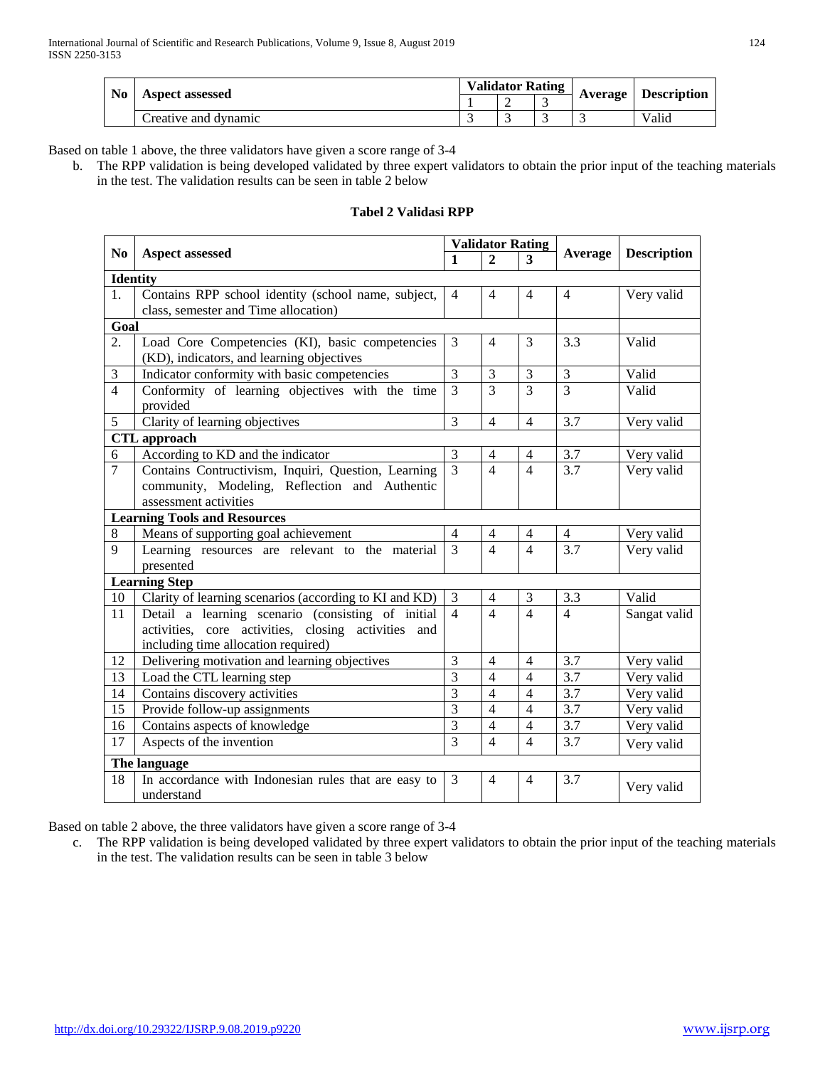| No | <b>Aspect assessed</b> |  | <b>Validator Rating</b> |  | Average | <b>Description</b> |
|----|------------------------|--|-------------------------|--|---------|--------------------|
|    |                        |  |                         |  |         |                    |
|    | Creative and dynamic   |  |                         |  |         | Valid              |

Based on table 1 above, the three validators have given a score range of 3-4

b. The RPP validation is being developed validated by three expert validators to obtain the prior input of the teaching materials in the test. The validation results can be seen in table 2 below

# **Tabel 2 Validasi RPP**

|                       |                                                        |                | <b>Validator Rating</b>  |                |                | <b>Description</b> |  |  |  |  |
|-----------------------|--------------------------------------------------------|----------------|--------------------------|----------------|----------------|--------------------|--|--|--|--|
| N <sub>0</sub>        | <b>Aspect assessed</b>                                 | $\mathbf{1}$   | $\mathbf{2}$             | 3              | Average        |                    |  |  |  |  |
| <b>Identity</b>       |                                                        |                |                          |                |                |                    |  |  |  |  |
| 1.                    | Contains RPP school identity (school name, subject,    | $\overline{4}$ | $\overline{4}$           | 4              | $\overline{4}$ | Very valid         |  |  |  |  |
|                       | class, semester and Time allocation)                   |                |                          |                |                |                    |  |  |  |  |
| Goal                  |                                                        |                |                          |                |                |                    |  |  |  |  |
| 2.                    | Load Core Competencies (KI), basic competencies        | 3              | $\overline{4}$           | 3              | 3.3            | Valid              |  |  |  |  |
|                       | (KD), indicators, and learning objectives              |                |                          |                |                |                    |  |  |  |  |
| 3                     | Indicator conformity with basic competencies           | $\overline{3}$ | 3                        | 3              | 3              | Valid              |  |  |  |  |
| $\overline{4}$        | Conformity of learning objectives with the time        | 3              | $\overline{3}$           | 3              | 3              | Valid              |  |  |  |  |
|                       | provided                                               |                |                          |                |                |                    |  |  |  |  |
| 5                     | Clarity of learning objectives                         | $\overline{3}$ | $\overline{4}$           | $\overline{4}$ | 3.7            | Very valid         |  |  |  |  |
|                       | <b>CTL</b> approach                                    |                |                          |                |                |                    |  |  |  |  |
| 6                     | According to KD and the indicator                      | 3              | $\overline{4}$           | $\overline{4}$ | 3.7            | Very valid         |  |  |  |  |
| $\overline{7}$        | Contains Contructivism, Inquiri, Question, Learning    | $\overline{3}$ | $\overline{4}$           | $\overline{4}$ | 3.7            | Very valid         |  |  |  |  |
|                       | community, Modeling, Reflection and Authentic          |                |                          |                |                |                    |  |  |  |  |
| assessment activities |                                                        |                |                          |                |                |                    |  |  |  |  |
|                       | <b>Learning Tools and Resources</b>                    |                |                          |                |                |                    |  |  |  |  |
| 8                     | Means of supporting goal achievement                   | $\overline{4}$ | $\overline{4}$           | 4              | $\overline{4}$ | Very valid         |  |  |  |  |
| 9                     | Learning resources are relevant to the material        | $\overline{3}$ | $\overline{4}$           | $\overline{4}$ | 3.7            | Very valid         |  |  |  |  |
|                       | presented                                              |                |                          |                |                |                    |  |  |  |  |
|                       | <b>Learning Step</b>                                   |                |                          |                |                |                    |  |  |  |  |
| 10                    | Clarity of learning scenarios (according to KI and KD) | $\mathfrak 3$  | $\overline{4}$           | 3              | 3.3            | Valid              |  |  |  |  |
| $\overline{11}$       | Detail a learning scenario (consisting of initial      | $\overline{4}$ | $\overline{4}$           | $\overline{4}$ | $\overline{4}$ | Sangat valid       |  |  |  |  |
|                       | activities, core activities, closing activities and    |                |                          |                |                |                    |  |  |  |  |
|                       | including time allocation required)                    |                |                          |                |                |                    |  |  |  |  |
| 12                    | Delivering motivation and learning objectives          | 3              | $\overline{4}$           | $\overline{4}$ | 3.7            | Very valid         |  |  |  |  |
| 13                    | Load the CTL learning step                             | 3              | $\overline{4}$           | $\overline{4}$ | 3.7            | Very valid         |  |  |  |  |
| 14                    | Contains discovery activities                          | 3              | $\overline{\mathcal{A}}$ | $\overline{4}$ | 3.7            | Very valid         |  |  |  |  |
| 15                    | Provide follow-up assignments                          | 3              | $\overline{4}$           | $\overline{4}$ | 3.7            | Very valid         |  |  |  |  |
| 16                    | Contains aspects of knowledge                          | 3              | $\overline{4}$           | $\overline{4}$ | 3.7            | Very valid         |  |  |  |  |
| 17                    | Aspects of the invention                               | 3              | $\overline{4}$           | $\overline{4}$ | 3.7            | Very valid         |  |  |  |  |
|                       | The language                                           |                |                          |                |                |                    |  |  |  |  |
| 18                    | In accordance with Indonesian rules that are easy to   | $\overline{3}$ | $\overline{4}$           | $\overline{4}$ | 3.7            | Very valid         |  |  |  |  |
|                       | understand                                             |                |                          |                |                |                    |  |  |  |  |

Based on table 2 above, the three validators have given a score range of 3-4

c. The RPP validation is being developed validated by three expert validators to obtain the prior input of the teaching materials in the test. The validation results can be seen in table 3 below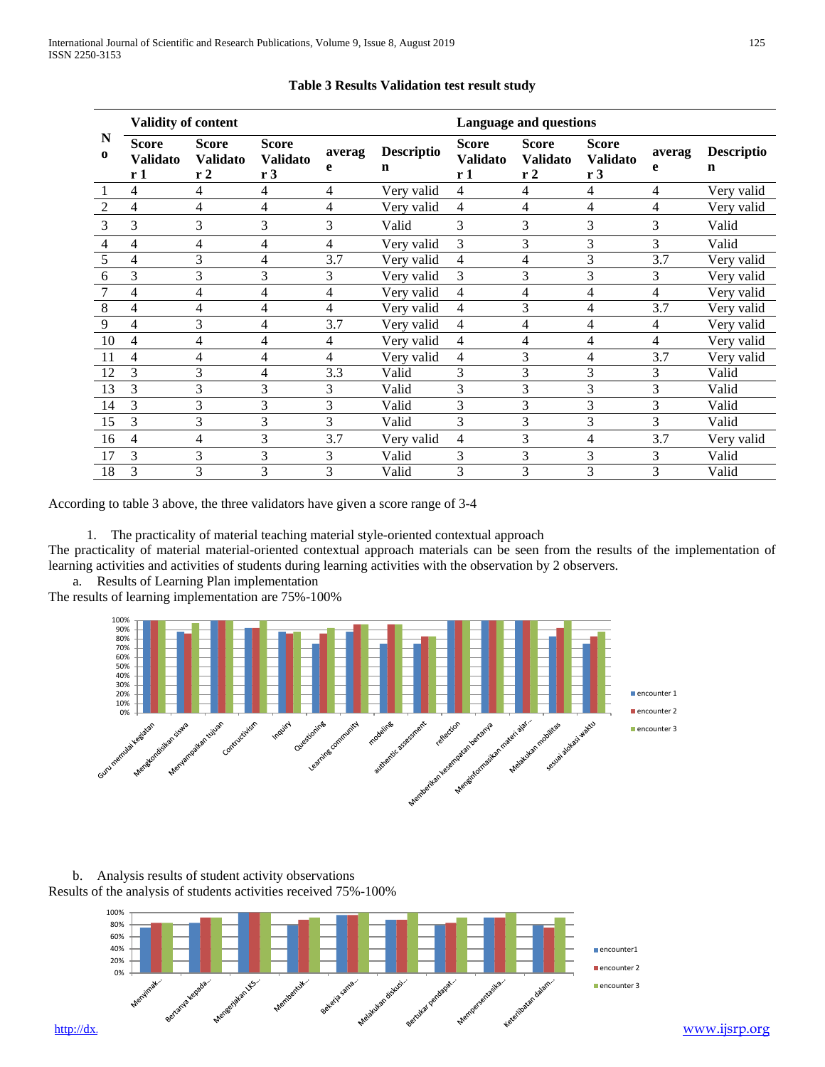|                | Validity of content                               |                                       |                                       |                |                        |                                       | <b>Language and questions</b>         |                                       |                |                        |  |  |
|----------------|---------------------------------------------------|---------------------------------------|---------------------------------------|----------------|------------------------|---------------------------------------|---------------------------------------|---------------------------------------|----------------|------------------------|--|--|
| N<br>$\bf{0}$  | <b>Score</b><br><b>Validato</b><br>r <sub>1</sub> | <b>Score</b><br><b>Validato</b><br>r2 | <b>Score</b><br><b>Validato</b><br>r3 | averag<br>e    | <b>Descriptio</b><br>n | <b>Score</b><br><b>Validato</b><br>r1 | <b>Score</b><br><b>Validato</b><br>r2 | <b>Score</b><br><b>Validato</b><br>r3 | averag<br>e    | <b>Descriptio</b><br>n |  |  |
|                | 4                                                 | 4                                     | 4                                     | 4              | Very valid             | 4                                     | 4                                     | 4                                     | 4              | Very valid             |  |  |
| $\overline{2}$ | 4                                                 | 4                                     | 4                                     | $\overline{4}$ | Very valid             | 4                                     | 4                                     | 4                                     | $\overline{4}$ | Very valid             |  |  |
| 3              | 3                                                 | 3                                     | 3                                     | 3              | Valid                  | 3                                     | 3                                     | 3                                     | 3              | Valid                  |  |  |
| 4              | 4                                                 | 4                                     | 4                                     | 4              | Very valid             | 3                                     | 3                                     | 3                                     | 3              | Valid                  |  |  |
| 5              | 4                                                 | 3                                     | 4                                     | 3.7            | Very valid             | 4                                     | 4                                     | 3                                     | 3.7            | Very valid             |  |  |
| 6              | 3                                                 | 3                                     | 3                                     | 3              | Very valid             | 3                                     | 3                                     | 3                                     | 3              | Very valid             |  |  |
|                | 4                                                 | 4                                     | 4                                     | 4              | Very valid             | 4                                     | 4                                     | 4                                     | $\overline{4}$ | Very valid             |  |  |
| 8              | 4                                                 | 4                                     | 4                                     | 4              | Very valid             | 4                                     | 3                                     | 4                                     | 3.7            | Very valid             |  |  |
| 9              | 4                                                 | 3                                     | 4                                     | 3.7            | Very valid             | 4                                     | 4                                     | 4                                     | 4              | Very valid             |  |  |
| 10             | 4                                                 | 4                                     | 4                                     | 4              | Very valid             | 4                                     | 4                                     | 4                                     | $\overline{4}$ | Very valid             |  |  |
| 11             | 4                                                 | 4                                     | 4                                     | 4              | Very valid             | 4                                     | 3                                     | 4                                     | 3.7            | Very valid             |  |  |
| 12             | 3                                                 | 3                                     | 4                                     | 3.3            | Valid                  | 3                                     | 3                                     | 3                                     | 3              | Valid                  |  |  |
| 13             | 3                                                 | 3                                     | 3                                     | 3              | Valid                  | 3                                     | 3                                     | 3                                     | 3              | Valid                  |  |  |
| 14             | 3                                                 | 3                                     | 3                                     | 3              | Valid                  | 3                                     | 3                                     | 3                                     | 3              | Valid                  |  |  |
| 15             | 3                                                 | 3                                     | 3                                     | 3              | Valid                  | 3                                     | 3                                     | 3                                     | 3              | Valid                  |  |  |
| 16             | 4                                                 | 4                                     | 3                                     | 3.7            | Very valid             | 4                                     | 3                                     | 4                                     | 3.7            | Very valid             |  |  |
| 17             | 3                                                 | 3                                     | 3                                     | 3              | Valid                  | 3                                     | 3                                     | 3                                     | 3              | Valid                  |  |  |
| 18             | 3                                                 | 3                                     | 3                                     | 3              | Valid                  | 3                                     | 3                                     | 3                                     | 3              | Valid                  |  |  |

# **Table 3 Results Validation test result study**

According to table 3 above, the three validators have given a score range of 3-4

1. The practicality of material teaching material style-oriented contextual approach

The practicality of material material-oriented contextual approach materials can be seen from the results of the implementation of learning activities and activities of students during learning activities with the observation by 2 observers.

a. Results of Learning Plan implementation

The results of learning implementation are 75%-100%



b. Analysis results of student activity observations Results of the analysis of students activities received 75%-100%

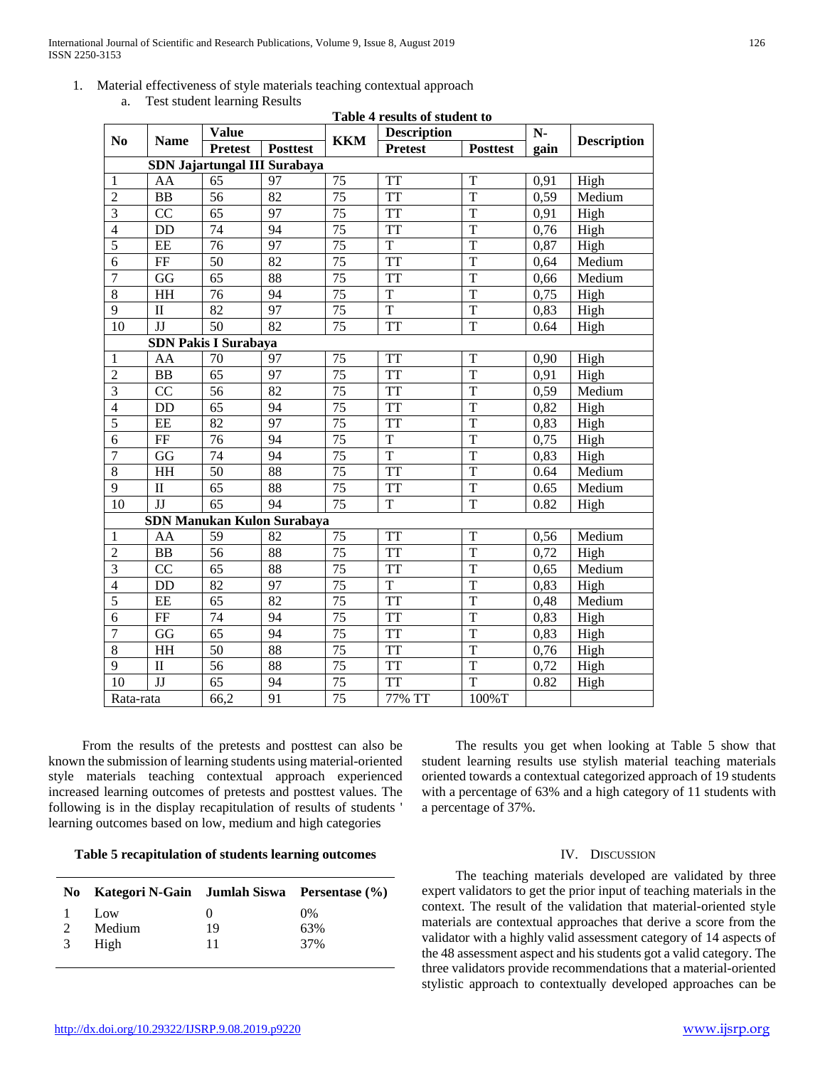1. Material effectiveness of style materials teaching contextual approach a. Test student learning Results

|                              | Table 4 results of student to |                             |                                   |                 |                    |                 |      |                    |  |  |
|------------------------------|-------------------------------|-----------------------------|-----------------------------------|-----------------|--------------------|-----------------|------|--------------------|--|--|
| No                           | <b>Name</b>                   | <b>Value</b>                |                                   | <b>KKM</b>      | <b>Description</b> |                 | $N-$ | <b>Description</b> |  |  |
|                              |                               | <b>Pretest</b>              | <b>Posttest</b>                   |                 | <b>Pretest</b>     | <b>Posttest</b> | gain |                    |  |  |
| SDN Jajartungal III Surabaya |                               |                             |                                   |                 |                    |                 |      |                    |  |  |
| $\mathbf{1}$                 | AA                            | 65                          | 97                                | $\overline{75}$ | <b>TT</b>          | T               | 0,91 | High               |  |  |
| $\overline{2}$               | <b>BB</b>                     | 56                          | 82                                | 75              | <b>TT</b>          | T               | 0,59 | Medium             |  |  |
| $\overline{3}$               | $\overline{CC}$               | $\overline{65}$             | 97                                | $\overline{75}$ | <b>TT</b>          | $\overline{T}$  | 0,91 | High               |  |  |
| $\overline{4}$               | <b>DD</b>                     | $\overline{74}$             | 94                                | 75              | <b>TT</b>          | $\overline{T}$  | 0,76 | High               |  |  |
| $\overline{5}$               | EE                            | 76                          | 97                                | 75              | $\overline{T}$     | $\overline{T}$  | 0,87 | High               |  |  |
| $\sqrt{6}$                   | $\rm FF$                      | 50                          | 82                                | $\overline{75}$ | <b>TT</b>          | $\overline{T}$  | 0,64 | Medium             |  |  |
| $\overline{7}$               | GG                            | 65                          | 88                                | 75              | <b>TT</b>          | $\overline{T}$  | 0,66 | Medium             |  |  |
| $\sqrt{8}$                   | HH                            | $\overline{76}$             | 94                                | 75              | $\overline{T}$     | T               | 0,75 | High               |  |  |
| $\overline{9}$               | $\mathbf{I}$                  | 82                          | 97                                | $\overline{75}$ | $\overline{T}$     | $\overline{T}$  | 0,83 | High               |  |  |
| 10                           | JJ                            | 50                          | 82                                | $\overline{75}$ | <b>TT</b>          | $\overline{T}$  | 0.64 | High               |  |  |
|                              |                               | <b>SDN Pakis I Surabaya</b> |                                   |                 |                    |                 |      |                    |  |  |
| $\mathbf{1}$                 | AA                            | 70                          | 97                                | 75              | <b>TT</b>          | T               | 0,90 | High               |  |  |
| $\overline{2}$               | B <sub>B</sub>                | 65                          | 97                                | $\overline{75}$ | <b>TT</b>          | $\mathbf T$     | 0,91 | High               |  |  |
| $\overline{3}$               | CC                            | 56                          | 82                                | 75              | <b>TT</b>          | $\overline{T}$  | 0,59 | Medium             |  |  |
| $\overline{4}$               | DD                            | 65                          | 94                                | 75              | <b>TT</b>          | $\mathbf T$     | 0,82 | High               |  |  |
| $\overline{5}$               | EE                            | 82                          | 97                                | $\overline{75}$ | <b>TT</b>          | $\overline{T}$  | 0,83 | High               |  |  |
| $\overline{6}$               | FF                            | 76                          | 94                                | $\overline{75}$ | $\mathbf T$        | $\overline{T}$  | 0,75 | High               |  |  |
| $\overline{7}$               | GG                            | 74                          | 94                                | 75              | $\mathbf T$        | $\overline{T}$  | 0,83 | High               |  |  |
| $\overline{8}$               | HH                            | 50                          | 88                                | 75              | <b>TT</b>          | $\mathbf T$     | 0.64 | Medium             |  |  |
| $\overline{9}$               | $\mathbf{I}$                  | 65                          | 88                                | 75              | <b>TT</b>          | T               | 0.65 | Medium             |  |  |
| $\overline{10}$              | JJ                            | 65                          | 94                                | 75              | $\mathbf T$        | $\overline{T}$  | 0.82 | High               |  |  |
|                              |                               |                             | <b>SDN Manukan Kulon Surabaya</b> |                 |                    |                 |      |                    |  |  |
| $\mathbf{1}$                 | AA                            | 59                          | 82                                | 75              | <b>TT</b>          | T               | 0,56 | Medium             |  |  |
| $\overline{2}$               | B <sub>B</sub>                | 56                          | 88                                | $\overline{75}$ | <b>TT</b>          | $\overline{T}$  | 0,72 | High               |  |  |
| $\overline{\mathbf{3}}$      | CC                            | 65                          | 88                                | 75              | <b>TT</b>          | T               | 0,65 | Medium             |  |  |
| $\overline{4}$               | <b>DD</b>                     | 82                          | 97                                | $\overline{75}$ | $\overline{T}$     | T               | 0,83 | High               |  |  |
| $\overline{5}$               | EE                            | 65                          | 82                                | $\overline{75}$ | <b>TT</b>          | T               | 0,48 | Medium             |  |  |
| 6                            | $\rm FF$                      | 74                          | 94                                | $\overline{75}$ | <b>TT</b>          | $\mathbf T$     | 0,83 | High               |  |  |
| $\overline{7}$               | GG                            | 65                          | 94                                | 75              | <b>TT</b>          | T               | 0,83 | High               |  |  |
| $\overline{8}$               | HH                            | 50                          | 88                                | $\overline{75}$ | <b>TT</b>          | $\overline{T}$  | 0,76 | High               |  |  |
| $\overline{9}$               | $\mathbf{I}$                  | 56                          | 88                                | 75              | <b>TT</b>          | $\overline{T}$  | 0,72 | High               |  |  |
| 10                           | JJ                            | 65                          | 94                                | 75              | <b>TT</b>          | T               | 0.82 | High               |  |  |
| Rata-rata                    |                               | 66,2                        | 91                                | $\overline{75}$ | 77% TT             | 100%T           |      |                    |  |  |

 From the results of the pretests and posttest can also be known the submission of learning students using material-oriented style materials teaching contextual approach experienced increased learning outcomes of pretests and posttest values. The following is in the display recapitulation of results of students ' learning outcomes based on low, medium and high categories

## **Table 5 recapitulation of students learning outcomes**

|                | No Kategori N-Gain Jumlah Siswa Persentase (%) |              |       |
|----------------|------------------------------------------------|--------------|-------|
| $\overline{1}$ | Low                                            | $\mathbf{0}$ | $0\%$ |
| 2              | Medium                                         | 19           | 63%   |
| 3              | High                                           | 11           | 37%   |

 The results you get when looking at Table 5 show that student learning results use stylish material teaching materials oriented towards a contextual categorized approach of 19 students with a percentage of 63% and a high category of 11 students with a percentage of 37%.

## IV. DISCUSSION

 The teaching materials developed are validated by three expert validators to get the prior input of teaching materials in the context. The result of the validation that material-oriented style materials are contextual approaches that derive a score from the validator with a highly valid assessment category of 14 aspects of the 48 assessment aspect and his students got a valid category. The three validators provide recommendations that a material-oriented stylistic approach to contextually developed approaches can be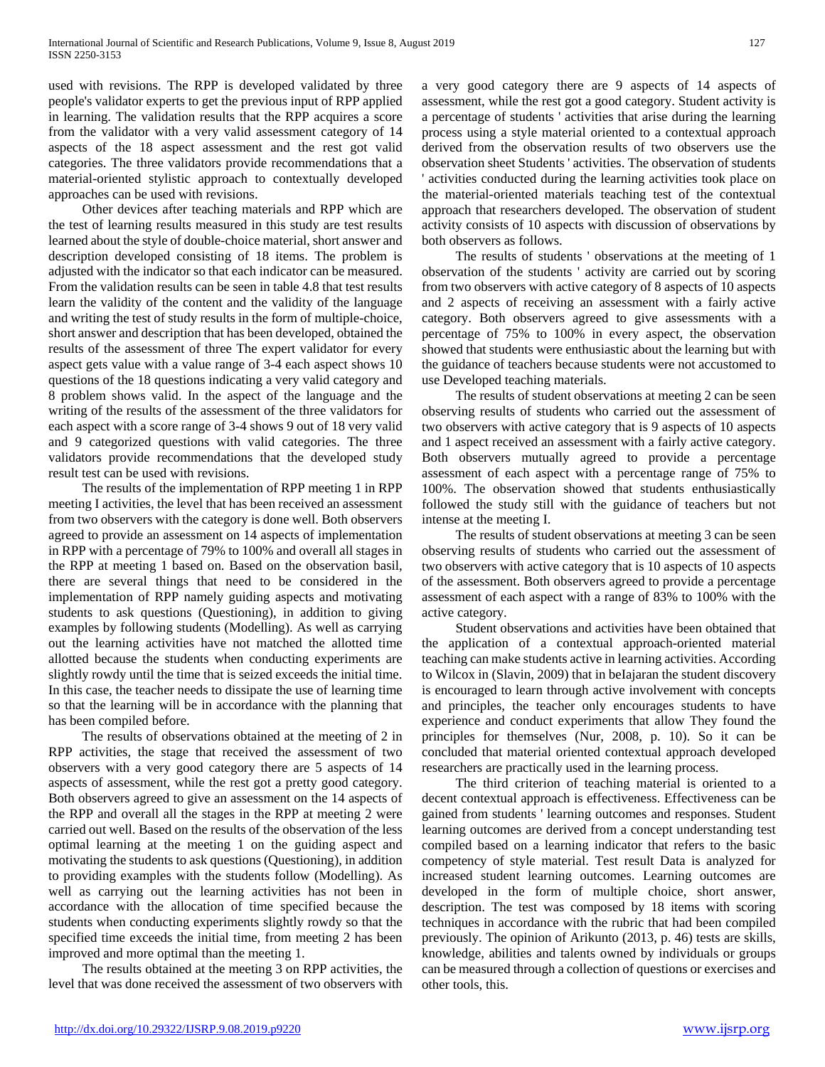used with revisions. The RPP is developed validated by three people's validator experts to get the previous input of RPP applied in learning. The validation results that the RPP acquires a score from the validator with a very valid assessment category of 14 aspects of the 18 aspect assessment and the rest got valid categories. The three validators provide recommendations that a material-oriented stylistic approach to contextually developed approaches can be used with revisions.

 Other devices after teaching materials and RPP which are the test of learning results measured in this study are test results learned about the style of double-choice material, short answer and description developed consisting of 18 items. The problem is adjusted with the indicator so that each indicator can be measured. From the validation results can be seen in table 4.8 that test results learn the validity of the content and the validity of the language and writing the test of study results in the form of multiple-choice, short answer and description that has been developed, obtained the results of the assessment of three The expert validator for every aspect gets value with a value range of 3-4 each aspect shows 10 questions of the 18 questions indicating a very valid category and 8 problem shows valid. In the aspect of the language and the writing of the results of the assessment of the three validators for each aspect with a score range of 3-4 shows 9 out of 18 very valid and 9 categorized questions with valid categories. The three validators provide recommendations that the developed study result test can be used with revisions.

 The results of the implementation of RPP meeting 1 in RPP meeting I activities, the level that has been received an assessment from two observers with the category is done well. Both observers agreed to provide an assessment on 14 aspects of implementation in RPP with a percentage of 79% to 100% and overall all stages in the RPP at meeting 1 based on. Based on the observation basil, there are several things that need to be considered in the implementation of RPP namely guiding aspects and motivating students to ask questions (Questioning), in addition to giving examples by following students (Modelling). As well as carrying out the learning activities have not matched the allotted time allotted because the students when conducting experiments are slightly rowdy until the time that is seized exceeds the initial time. In this case, the teacher needs to dissipate the use of learning time so that the learning will be in accordance with the planning that has been compiled before.

 The results of observations obtained at the meeting of 2 in RPP activities, the stage that received the assessment of two observers with a very good category there are 5 aspects of 14 aspects of assessment, while the rest got a pretty good category. Both observers agreed to give an assessment on the 14 aspects of the RPP and overall all the stages in the RPP at meeting 2 were carried out well. Based on the results of the observation of the less optimal learning at the meeting 1 on the guiding aspect and motivating the students to ask questions (Questioning), in addition to providing examples with the students follow (Modelling). As well as carrying out the learning activities has not been in accordance with the allocation of time specified because the students when conducting experiments slightly rowdy so that the specified time exceeds the initial time, from meeting 2 has been improved and more optimal than the meeting 1.

 The results obtained at the meeting 3 on RPP activities, the level that was done received the assessment of two observers with

a very good category there are 9 aspects of 14 aspects of assessment, while the rest got a good category. Student activity is a percentage of students ' activities that arise during the learning process using a style material oriented to a contextual approach derived from the observation results of two observers use the observation sheet Students ' activities. The observation of students activities conducted during the learning activities took place on the material-oriented materials teaching test of the contextual approach that researchers developed. The observation of student activity consists of 10 aspects with discussion of observations by both observers as follows.

 The results of students ' observations at the meeting of 1 observation of the students ' activity are carried out by scoring from two observers with active category of 8 aspects of 10 aspects and 2 aspects of receiving an assessment with a fairly active category. Both observers agreed to give assessments with a percentage of 75% to 100% in every aspect, the observation showed that students were enthusiastic about the learning but with the guidance of teachers because students were not accustomed to use Developed teaching materials.

 The results of student observations at meeting 2 can be seen observing results of students who carried out the assessment of two observers with active category that is 9 aspects of 10 aspects and 1 aspect received an assessment with a fairly active category. Both observers mutually agreed to provide a percentage assessment of each aspect with a percentage range of 75% to 100%. The observation showed that students enthusiastically followed the study still with the guidance of teachers but not intense at the meeting I.

 The results of student observations at meeting 3 can be seen observing results of students who carried out the assessment of two observers with active category that is 10 aspects of 10 aspects of the assessment. Both observers agreed to provide a percentage assessment of each aspect with a range of 83% to 100% with the active category.

 Student observations and activities have been obtained that the application of a contextual approach-oriented material teaching can make students active in learning activities. According to Wilcox in (Slavin, 2009) that in beIajaran the student discovery is encouraged to learn through active involvement with concepts and principles, the teacher only encourages students to have experience and conduct experiments that allow They found the principles for themselves (Nur, 2008, p. 10). So it can be concluded that material oriented contextual approach developed researchers are practically used in the learning process.

 The third criterion of teaching material is oriented to a decent contextual approach is effectiveness. Effectiveness can be gained from students ' learning outcomes and responses. Student learning outcomes are derived from a concept understanding test compiled based on a learning indicator that refers to the basic competency of style material. Test result Data is analyzed for increased student learning outcomes. Learning outcomes are developed in the form of multiple choice, short answer, description. The test was composed by 18 items with scoring techniques in accordance with the rubric that had been compiled previously. The opinion of Arikunto (2013, p. 46) tests are skills, knowledge, abilities and talents owned by individuals or groups can be measured through a collection of questions or exercises and other tools, this.